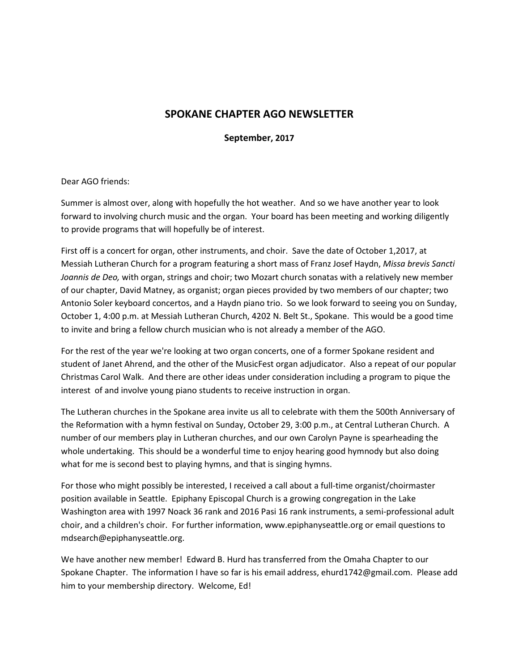## **SPOKANE CHAPTER AGO NEWSLETTER**

**September, 2017** 

## Dear AGO friends:

Summer is almost over, along with hopefully the hot weather. And so we have another year to look forward to involving church music and the organ. Your board has been meeting and working diligently to provide programs that will hopefully be of interest.

First off is a concert for organ, other instruments, and choir. Save the date of October 1,2017, at Messiah Lutheran Church for a program featuring a short mass of Franz Josef Haydn, *Missa brevis Sancti Joannis de Deo,* with organ, strings and choir; two Mozart church sonatas with a relatively new member of our chapter, David Matney, as organist; organ pieces provided by two members of our chapter; two Antonio Soler keyboard concertos, and a Haydn piano trio. So we look forward to seeing you on Sunday, October 1, 4:00 p.m. at Messiah Lutheran Church, 4202 N. Belt St., Spokane. This would be a good time to invite and bring a fellow church musician who is not already a member of the AGO.

For the rest of the year we're looking at two organ concerts, one of a former Spokane resident and student of Janet Ahrend, and the other of the MusicFest organ adjudicator. Also a repeat of our popular Christmas Carol Walk. And there are other ideas under consideration including a program to pique the interest of and involve young piano students to receive instruction in organ.

The Lutheran churches in the Spokane area invite us all to celebrate with them the 500th Anniversary of the Reformation with a hymn festival on Sunday, October 29, 3:00 p.m., at Central Lutheran Church. A number of our members play in Lutheran churches, and our own Carolyn Payne is spearheading the whole undertaking. This should be a wonderful time to enjoy hearing good hymnody but also doing what for me is second best to playing hymns, and that is singing hymns.

For those who might possibly be interested, I received a call about a full-time organist/choirmaster position available in Seattle. Epiphany Episcopal Church is a growing congregation in the Lake Washington area with 1997 Noack 36 rank and 2016 Pasi 16 rank instruments, a semi-professional adult choir, and a children's choir. For further information, www.epiphanyseattle.org or email questions to mdsearch@epiphanyseattle.org.

We have another new member! Edward B. Hurd has transferred from the Omaha Chapter to our Spokane Chapter. The information I have so far is his email address, ehurd1742@gmail.com. Please add him to your membership directory. Welcome, Ed!